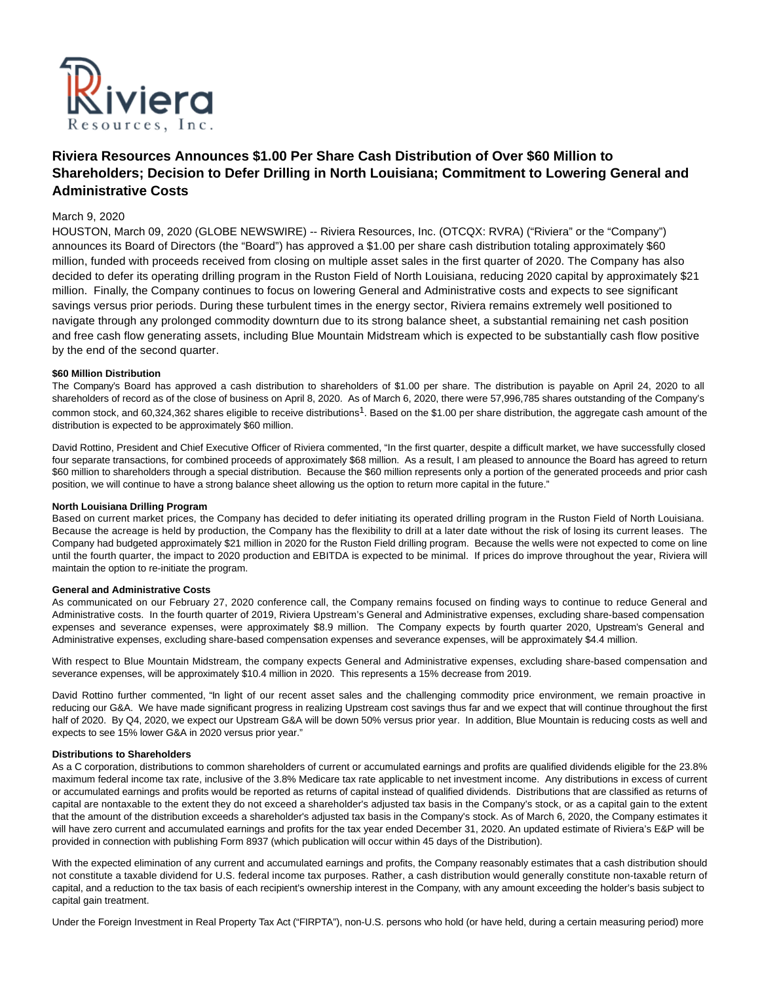

# **Riviera Resources Announces \$1.00 Per Share Cash Distribution of Over \$60 Million to Shareholders; Decision to Defer Drilling in North Louisiana; Commitment to Lowering General and Administrative Costs**

## March 9, 2020

HOUSTON, March 09, 2020 (GLOBE NEWSWIRE) -- Riviera Resources, Inc. (OTCQX: RVRA) ("Riviera" or the "Company") announces its Board of Directors (the "Board") has approved a \$1.00 per share cash distribution totaling approximately \$60 million, funded with proceeds received from closing on multiple asset sales in the first quarter of 2020. The Company has also decided to defer its operating drilling program in the Ruston Field of North Louisiana, reducing 2020 capital by approximately \$21 million. Finally, the Company continues to focus on lowering General and Administrative costs and expects to see significant savings versus prior periods. During these turbulent times in the energy sector, Riviera remains extremely well positioned to navigate through any prolonged commodity downturn due to its strong balance sheet, a substantial remaining net cash position and free cash flow generating assets, including Blue Mountain Midstream which is expected to be substantially cash flow positive by the end of the second quarter.

## **\$60 Million Distribution**

The Company's Board has approved a cash distribution to shareholders of \$1.00 per share. The distribution is payable on April 24, 2020 to all shareholders of record as of the close of business on April 8, 2020. As of March 6, 2020, there were 57,996,785 shares outstanding of the Company's common stock, and 60,324,362 shares eligible to receive distributions<sup>1</sup>. Based on the \$1.00 per share distribution, the aggregate cash amount of the distribution is expected to be approximately \$60 million.

David Rottino, President and Chief Executive Officer of Riviera commented, "In the first quarter, despite a difficult market, we have successfully closed four separate transactions, for combined proceeds of approximately \$68 million. As a result, I am pleased to announce the Board has agreed to return \$60 million to shareholders through a special distribution. Because the \$60 million represents only a portion of the generated proceeds and prior cash position, we will continue to have a strong balance sheet allowing us the option to return more capital in the future."

#### **North Louisiana Drilling Program**

Based on current market prices, the Company has decided to defer initiating its operated drilling program in the Ruston Field of North Louisiana. Because the acreage is held by production, the Company has the flexibility to drill at a later date without the risk of losing its current leases. The Company had budgeted approximately \$21 million in 2020 for the Ruston Field drilling program. Because the wells were not expected to come on line until the fourth quarter, the impact to 2020 production and EBITDA is expected to be minimal. If prices do improve throughout the year, Riviera will maintain the option to re-initiate the program.

#### **General and Administrative Costs**

As communicated on our February 27, 2020 conference call, the Company remains focused on finding ways to continue to reduce General and Administrative costs. In the fourth quarter of 2019, Riviera Upstream's General and Administrative expenses, excluding share-based compensation expenses and severance expenses, were approximately \$8.9 million. The Company expects by fourth quarter 2020, Upstream's General and Administrative expenses, excluding share-based compensation expenses and severance expenses, will be approximately \$4.4 million.

With respect to Blue Mountain Midstream, the company expects General and Administrative expenses, excluding share-based compensation and severance expenses, will be approximately \$10.4 million in 2020. This represents a 15% decrease from 2019.

David Rottino further commented, "In light of our recent asset sales and the challenging commodity price environment, we remain proactive in reducing our G&A. We have made significant progress in realizing Upstream cost savings thus far and we expect that will continue throughout the first half of 2020. By Q4, 2020, we expect our Upstream G&A will be down 50% versus prior year. In addition, Blue Mountain is reducing costs as well and expects to see 15% lower G&A in 2020 versus prior year."

#### **Distributions to Shareholders**

As a C corporation, distributions to common shareholders of current or accumulated earnings and profits are qualified dividends eligible for the 23.8% maximum federal income tax rate, inclusive of the 3.8% Medicare tax rate applicable to net investment income. Any distributions in excess of current or accumulated earnings and profits would be reported as returns of capital instead of qualified dividends. Distributions that are classified as returns of capital are nontaxable to the extent they do not exceed a shareholder's adjusted tax basis in the Company's stock, or as a capital gain to the extent that the amount of the distribution exceeds a shareholder's adjusted tax basis in the Company's stock. As of March 6, 2020, the Company estimates it will have zero current and accumulated earnings and profits for the tax year ended December 31, 2020. An updated estimate of Riviera's E&P will be provided in connection with publishing Form 8937 (which publication will occur within 45 days of the Distribution).

With the expected elimination of any current and accumulated earnings and profits, the Company reasonably estimates that a cash distribution should not constitute a taxable dividend for U.S. federal income tax purposes. Rather, a cash distribution would generally constitute non-taxable return of capital, and a reduction to the tax basis of each recipient's ownership interest in the Company, with any amount exceeding the holder's basis subject to capital gain treatment.

Under the Foreign Investment in Real Property Tax Act ("FIRPTA"), non-U.S. persons who hold (or have held, during a certain measuring period) more